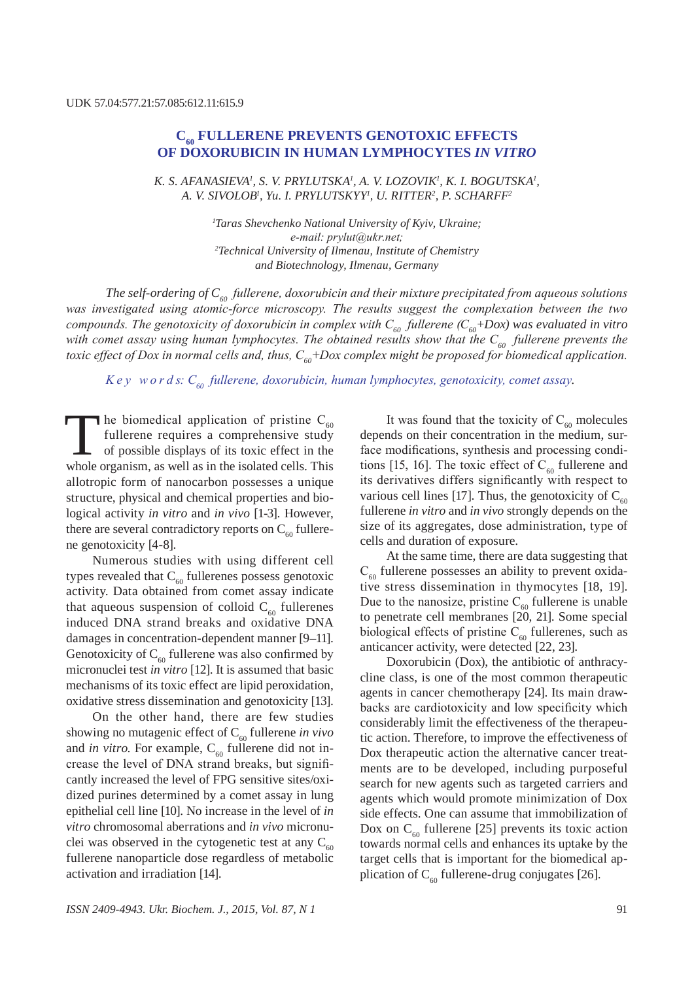# **C60 Fullerene prevents genotoxic effects of doxorubicin in human lymphocytes** *in vitro*

*K. S. AFANASIEVA<sup>1</sup>, S. V. PRYLUTSKA<sup>1</sup>, A. V. LOZOVIK<sup>1</sup>, K. I. BOGUTSKA<sup>1</sup>, A. V. Sivolob1 , Yu. I. Prylutsk yy1 , U. Ritter2 , P. Scharff2*

> *1 Taras Shevchenko National University of Kyiv, Ukraine; е-mail: prylut@ukr.net; 2 Technical University of Ilmenau, Institute of Chemistry and Biotechnology, Ilmenau, Germany*

*The self-ordering of C60 fullerene, doxorubicin and their mixture precipitated from aqueous solutions was investigated using atomic-force microscopy. The results suggest the complexation between the two compounds. The genotoxicity of doxorubicin in complex with C60 fullerene (С60+Dox) was evaluated in vitro*  with comet assay using human lymphocytes. The obtained results show that the C<sub>60</sub> fullerene prevents the *toxic effect of Dox in normal cells and, thus, С60+Dox complex might be proposed for biomedical application.*

*K e y w o r d s: C60 fullerene, doxorubicin, human lymphocytes, genotoxicity, comet assay.*

The biomedical application of pristine  $C_{60}$ fullerene requires a comprehensive study of possible displays of its toxic effect in the whole organism, as well as in the isolated cells. This allotropic form of nanocarbon possesses a unique structure, physical and chemical properties and biological activity *in vitro* and *in vivo* [1-3]. However, there are several contradictory reports on  $C_{60}$  fullerene genotoxicity [4-8].

Numerous studies with using different cell types revealed that  $C_{60}$  fullerenes possess genotoxic activity. Data obtained from comet assay indicate that aqueous suspension of colloid  $C_{60}$  fullerenes induced DNA strand breaks and oxidative DNA damages in concentration-dependent manner [9–11]. Genotoxicity of  $C_{60}$  fullerene was also confirmed by micronuclei test *in vitro* [12]. It is assumed that basic mechanisms of its toxic effect are lipid peroxidation, oxidative stress dissemination and genotoxicity [13].

On the other hand, there are few studies showing no mutagenic effect of  $C_{60}$  fullerene *in vivo* and *in vitro*. For example,  $C_{60}$  fullerene did not increase the level of DNA strand breaks, but significantly increased the level of FPG sensitive sites/oxidized purines determined by a comet assay in lung epithelial cell line [10]. No increase in the level of *in vitro* chromosomal aberrations and *in vivo* micronuclei was observed in the cytogenetic test at any  $C_{60}$ fullerene nanoparticle dose regardless of metabolic activation and irradiation [14].

It was found that the toxicity of  $C_{60}$  molecules depends on their concentration in the medium, surface modifications, synthesis and processing conditions [15, 16]. The toxic effect of  $C_{60}$  fullerene and its derivatives differs significantly with respect to various cell lines [17]. Thus, the genotoxicity of  $C_{60}$ fullerene *in vitro* and *in vivo* strongly depends on the size of its aggregates, dose administration, type of cells and duration of exposure.

At the same time, there are data suggesting that  $C_{60}$  fullerene possesses an ability to prevent oxidative stress dissemination in thymocytes [18, 19]. Due to the nanosize, pristine  $C_{60}$  fullerene is unable to penetrate cell membranes [20, 21]. Some special biological effects of pristine  $C_{60}$  fullerenes, such as anticancer activity, were detected [22, 23].

Doxorubicin (Dox), the antibiotic of anthracycline class, is one of the most common therapeutic agents in cancer chemotherapy [24]. Its main drawbacks are cardiotoxicity and low specificity which considerably limit the effectiveness of the therapeutic action. Therefore, to improve the effectiveness of Dox therapeutic action the alternative cancer treatments are to be developed, including purposeful search for new agents such as targeted carriers and agents which would promote minimization of Dox side effects. One can assume that immobilization of Dox on  $C_{60}$  fullerene [25] prevents its toxic action towards normal cells and enhances its uptake by the target cells that is important for the biomedical application of  $C_{60}$  fullerene-drug conjugates [26].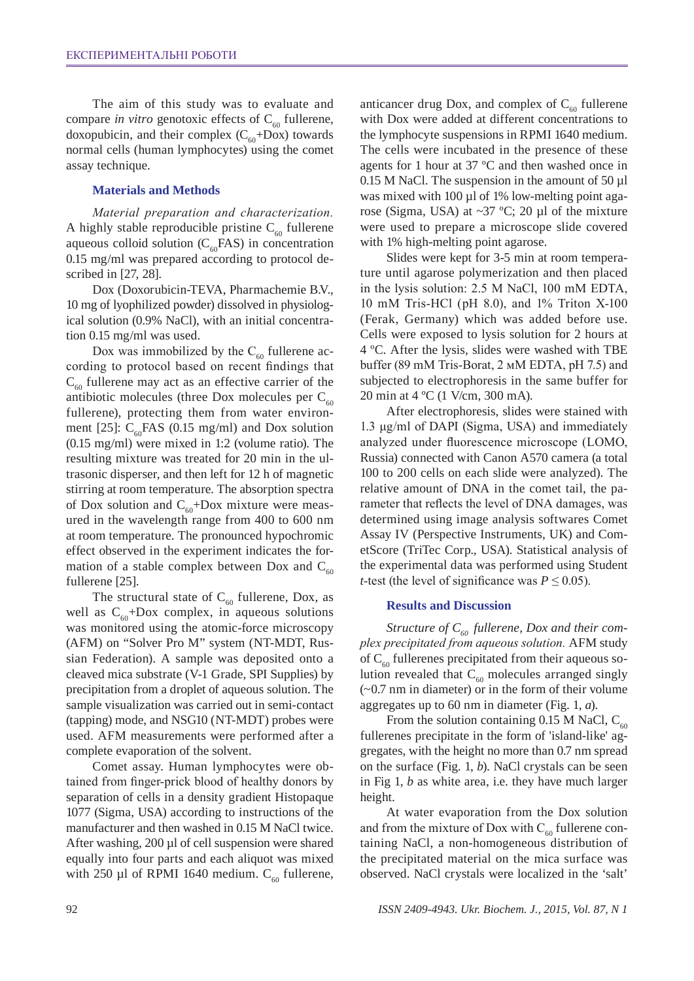The aim of this study was to evaluate and compare *in vitro* genotoxic effects of  $C_{60}$  fullerene, doxopubicin, and their complex  $(C_{60} + Dox)$  towards normal cells (human lymphocytes) using the comet assay technique.

### **Materials and Methods**

*Material preparation and characterization.*  A highly stable reproducible pristine  $C_{60}$  fullerene aqueous colloid solution  $(C_{60}FAS)$  in concentration 0.15 mg/ml was prepared according to protocol described in [27, 28].

Dox (Doxorubicin-TEVA, Pharmachemie B.V., 10 mg of lyophilized powder) dissolved in physiological solution (0.9% NaCl), with an initial concentration 0.15 mg/ml was used.

Dox was immobilized by the  $C_{60}$  fullerene according to protocol based on recent findings that  $C_{60}$  fullerene may act as an effective carrier of the antibiotic molecules (three Dox molecules per  $C_{60}$ ) fullerene), protecting them from water environment [25]:  $C_{60}$ FAS (0.15 mg/ml) and Dox solution (0.15 mg/ml) were mixed in 1:2 (volume ratio). The resulting mixture was treated for 20 min in the ultrasonic disperser, and then left for 12 h of magnetic stirring at room temperature. The absorption spectra of Dox solution and  $C_{60}$ +Dox mixture were measured in the wavelength range from 400 to 600 nm at room temperature. The pronounced hypochromic effect observed in the experiment indicates the formation of a stable complex between Dox and  $C_{60}$ fullerene [25].

The structural state of  $C_{60}$  fullerene, Dox, as well as  $C_{60}$ +Dox complex, in aqueous solutions was monitored using the atomic-force microscopy (AFM) on "Solver Pro M" system (NT-MDT, Russian Federation). A sample was deposited onto a cleaved mica substrate (V-1 Grade, SPI Supplies) by precipitation from a droplet of aqueous solution. The sample visualization was carried out in semi-contact (tapping) mode, and NSG10 (NT-MDT) probes were used. AFM measurements were performed after a complete evaporation of the solvent.

Comet assay. Human lymphocytes were obtained from finger-prick blood of healthy donors by separation of cells in a density gradient Histopaque 1077 (Sigma, USA) according to instructions of the manufacturer and then washed in 0.15 M NaCl twice. After washing,  $200 \mu l$  of cell suspension were shared equally into four parts and each aliquot was mixed with 250 µl of RPMI 1640 medium.  $C_{60}$  fullerene,

anticancer drug Dox, and complex of  $C_{60}$  fullerene with Dox were added at different concentrations to the lymphocyte suspensions in RPMI 1640 medium. The cells were incubated in the presence of these agents for 1 hour at 37 ºC and then washed once in 0.15 M NaCl. The suspension in the amount of 50 µl was mixed with 100 µl of 1% low-melting point agarose (Sigma, USA) at  $\sim$ 37 °C; 20 µl of the mixture were used to prepare a microscope slide covered with 1% high-melting point agarose.

Slides were kept for 3-5 min at room temperature until agarose polymerization and then placed in the lysis solution: 2.5 М NaCl, 100 mM ЕDTA, 10 mM Tris-HCl (рН 8.0), and 1% Triton X-100 (Ferak, Germany) which was added before use. Cells were exposed to lysis solution for 2 hours at 4 ºC. After the lysis, slides were washed with TBE buffer (89 mM Tris-Borat, 2 мМ EDTA, рН 7.5) and subjected to electrophoresis in the same buffer for 20 min at 4 ºC (1 V/cm, 300 mA).

After electrophoresis, slides were stained with 1.3 μg/ml of DAPI (Sigma, USA) and immediately analyzed under fluorescence microscope (LOMO, Russia) connected with Canon A570 camera (a total 100 to 200 cells on each slide were analyzed). The relative amount of DNA in the comet tail, the parameter that reflects the level of DNA damages, was determined using image analysis softwares Comet Assay IV (Perspective Instruments, UK) and CometScore (TriTec Corp., USA). Statistical analysis of the experimental data was performed using Student *t*-test (the level of significance was  $P \leq 0.05$ ).

### **Results and Discussion**

Structure of C<sub>60</sub> fullerene, Dox and their com*plex precipitated from aqueous solution.* AFM study of  $C_{60}$  fullerenes precipitated from their aqueous solution revealed that  $C_{60}$  molecules arranged singly  $(-0.7)$  nm in diameter) or in the form of their volume aggregates up to 60 nm in diameter (Fig. 1, *a*).

From the solution containing 0.15 M NaCl,  $C_{60}$ fullerenes precipitate in the form of 'island-like' aggregates, with the height no more than 0.7 nm spread on the surface (Fig. 1, *b*). NaCl crystals can be seen in Fig 1, *b* as white area, i.e. they have much larger height.

At water evaporation from the Dox solution and from the mixture of Dox with  $C_{\epsilon 0}$  fullerene containing NaCl, a non-homogeneous distribution of the precipitated material on the mica surface was observed. NaCl crystals were localized in the 'salt'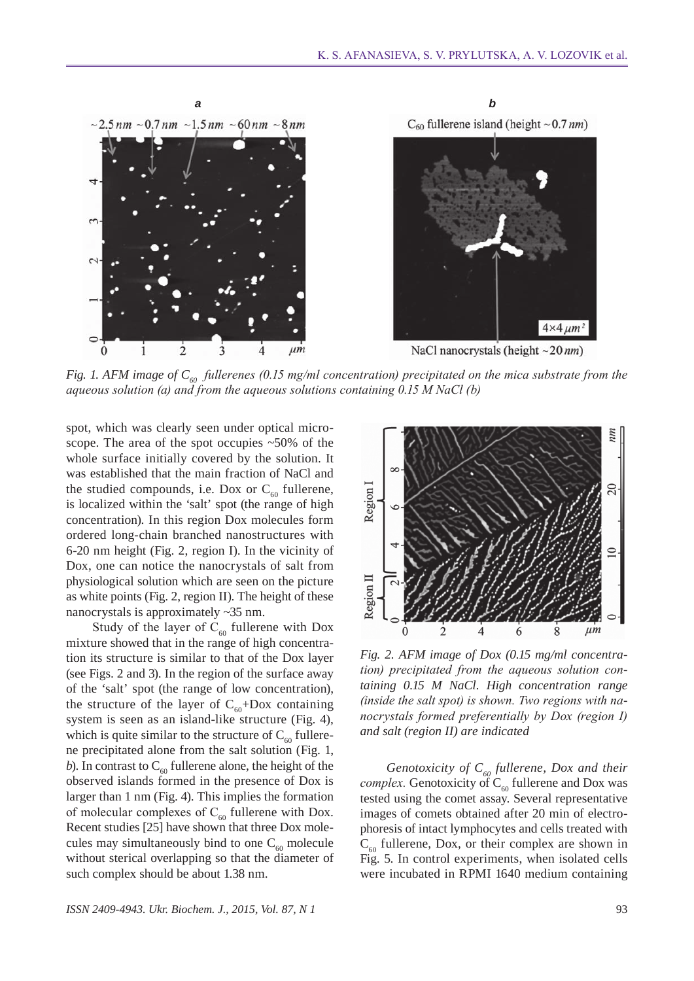

*Fig. 1. AFM image of C<sub>60</sub> fullerenes (0.15 mg/ml concentration) precipitated on the mica substrate from the aqueous solution (a) and from the aqueous solutions containing 0.15 M NaCl (b)*

spot, which was clearly seen under optical microscope. The area of the spot occupies ~50% of the whole surface initially covered by the solution. It was established that the main fraction of NaCl and the studied compounds, i.e. Dox or  $C_{60}$  fullerene, is localized within the 'salt' spot (the range of high concentration). In this region Dox molecules form ordered long-chain branched nanostructures with 6-20 nm height (Fig. 2, region I). In the vicinity of Dox, one can notice the nanocrystals of salt from physiological solution which are seen on the picture as white points (Fig. 2, region II). The height of these nanocrystals is approximately ~35 nm.

Study of the layer of  $C_{60}$  fullerene with Dox mixture showed that in the range of high concentration its structure is similar to that of the Dox layer (see Figs. 2 and 3). In the region of the surface away of the 'salt' spot (the range of low concentration), the structure of the layer of  $C_{60}$ +Dox containing system is seen as an island-like structure (Fig. 4), which is quite similar to the structure of  $C_{60}$  fullerene precipitated alone from the salt solution (Fig. 1, *b*). In contrast to  $C_{60}$  fullerene alone, the height of the observed islands formed in the presence of Dox is larger than 1 nm (Fig. 4). This implies the formation of molecular complexes of  $C_{60}$  fullerene with Dox. Recent studies [25] have shown that three Dox molecules may simultaneously bind to one  $C_{60}$  molecule without sterical overlapping so that the diameter of such complex should be about 1.38 nm.



*Fig. 2. AFM image of Dox (0.15 mg/ml concentration) precipitated from the aqueous solution containing 0.15 M NaCl. High concentration range (inside the salt spot) is shown. Two regions with nanocrystals formed preferentially by Dox (region I) and salt (region II) are indicated*

*Genotoxicity of C<sub>60</sub> fullerene, Dox and their complex.* Genotoxicity of  $C_{60}$  fullerene and Dox was tested using the comet assay. Several representative images of comets obtained after 20 min of electrophoresis of intact lymphocytes and cells treated with  $C_{60}$  fullerene, Dox, or their complex are shown in Fig. 5. In control experiments, when isolated cells were incubated in RPMI 1640 medium containing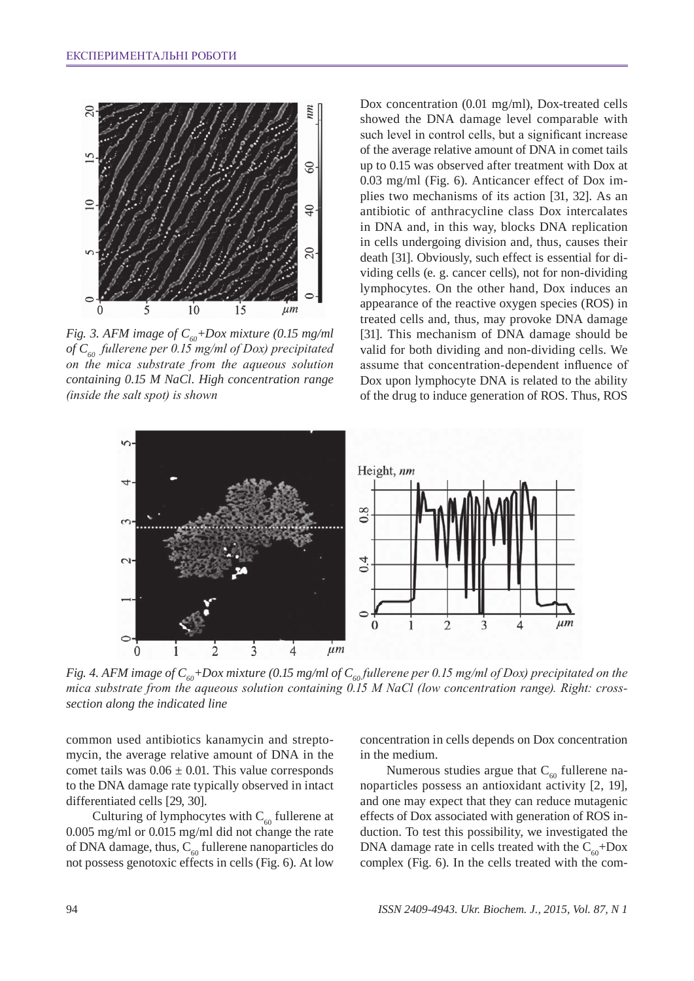

*Fig. 3. AFM image of*  $C_{60}$ *+Dox mixture (0.15 mg/ml of C60 fullerene per 0.15 mg/ml of Dox) precipitated on the mica substrate from the aqueous solution containing 0.15 M NaCl. High concentration range (inside the salt spot) is shown*

Dox concentration (0.01 mg/ml), Dox-treated cells showed the DNA damage level comparable with such level in control cells, but a significant increase of the average relative amount of DNA in comet tails up to 0.15 was observed after treatment with Dox at 0.03 mg/ml (Fig. 6). Anticancer effect of Dox implies two mechanisms of its action [31, 32]. As an antibiotic of anthracycline class Dox intercalates in DNA and, in this way, blocks DNA replication in cells undergoing division and, thus, causes their death [31]. Obviously, such effect is essential for dividing cells (e. g. cancer cells), not for non-dividing lymphocytes. On the other hand, Dox induces an appearance of the reactive oxygen species (ROS) in treated cells and, thus, may provoke DNA damage [31]. This mechanism of DNA damage should be valid for both dividing and non-dividing cells. We assume that concentration-dependent influence of Dox upon lymphocyte DNA is related to the ability of the drug to induce generation of ROS. Thus, ROS



*Fig. 4. AFM image of C<sub>60</sub>+Dox mixture (0.15 mg/ml of C<sub>60</sub><i>fullerene per 0.15 mg/ml of Dox) precipitated on the mica substrate from the aqueous solution containing 0.15 M NaCl (low concentration range). Right: crosssection along the indicated line*

common used antibiotics kanamycin and streptomycin, the average relative amount of DNA in the comet tails was  $0.06 \pm 0.01$ . This value corresponds to the DNA damage rate typically observed in intact differentiated cells [29, 30].

Culturing of lymphocytes with  $C_{60}$  fullerene at 0.005 mg/ml or 0.015 mg/ml did not change the rate of DNA damage, thus,  $C_{60}$  fullerene nanoparticles do not possess genotoxic effects in cells (Fig. 6). At low concentration in cells depends on Dox concentration in the medium.

Numerous studies argue that  $C_{60}$  fullerene nanoparticles possess an antioxidant activity [2, 19], and one may expect that they can reduce mutagenic effects of Dox associated with generation of ROS induction. To test this possibility, we investigated the DNA damage rate in cells treated with the  $C_{\epsilon 0}$ +Dox complex (Fig. 6). In the cells treated with the com-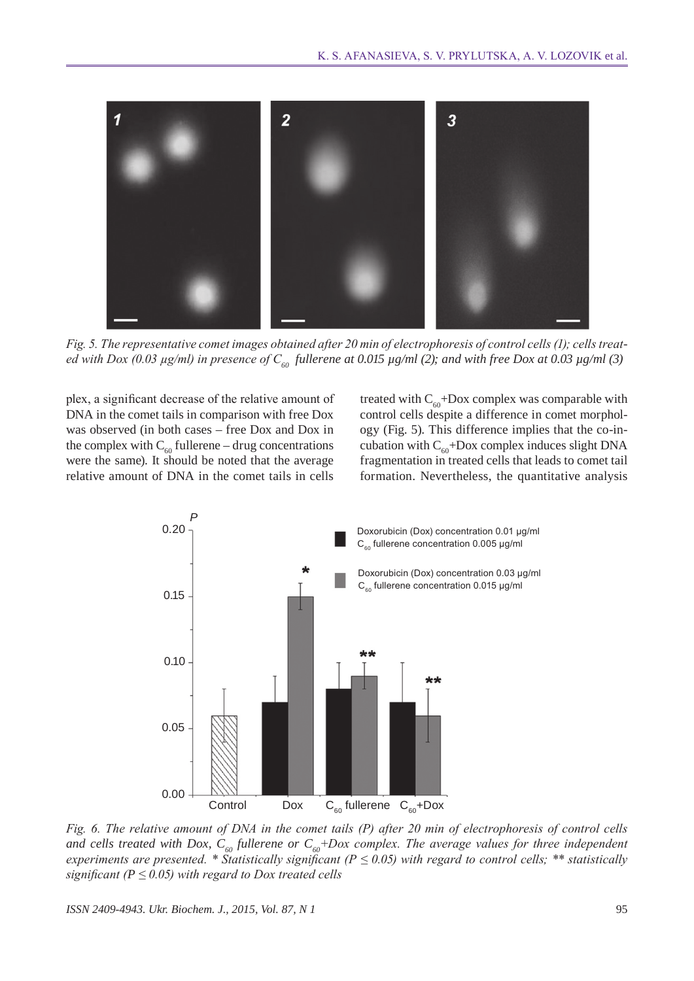

*Fig. 5. The representative comet images obtained after 20 min of electrophoresis of control cells (1); cells treated with Dox (0.03 µg/ml) in presence of*  $C_{60}$  *fullerene at 0.015 µg/ml (2); and with free Dox at 0.03 µg/ml (3)* 

plex, a significant decrease of the relative amount of DNA in the comet tails in comparison with free Dox was observed (in both cases – free Dox and Dox in the complex with  $C_{60}$  fullerene – drug concentrations were the same). It should be noted that the average relative amount of DNA in the comet tails in cells

treated with  $C_{60}$ +Dox complex was comparable with control cells despite a difference in comet morphology (Fig. 5). This difference implies that the co-incubation with  $C_{60}$ +Dox complex induces slight DNA fragmentation in treated cells that leads to comet tail formation. Nevertheless, the quantitative analysis



*Fig. 6. The relative amount of DNA in the comet tails (P) after 20 min of electrophoresis of control cells*  and cells treated with Dox,  $C_{60}$  fullerene or  $C_{60}$ +Dox complex. The average values for three independent *experiments are presented.* \* Statistically significant ( $P \le 0.05$ ) with regard to control cells; \*\* statistically *significant (* $P \le 0.05$ *) with regard to Dox treated cells*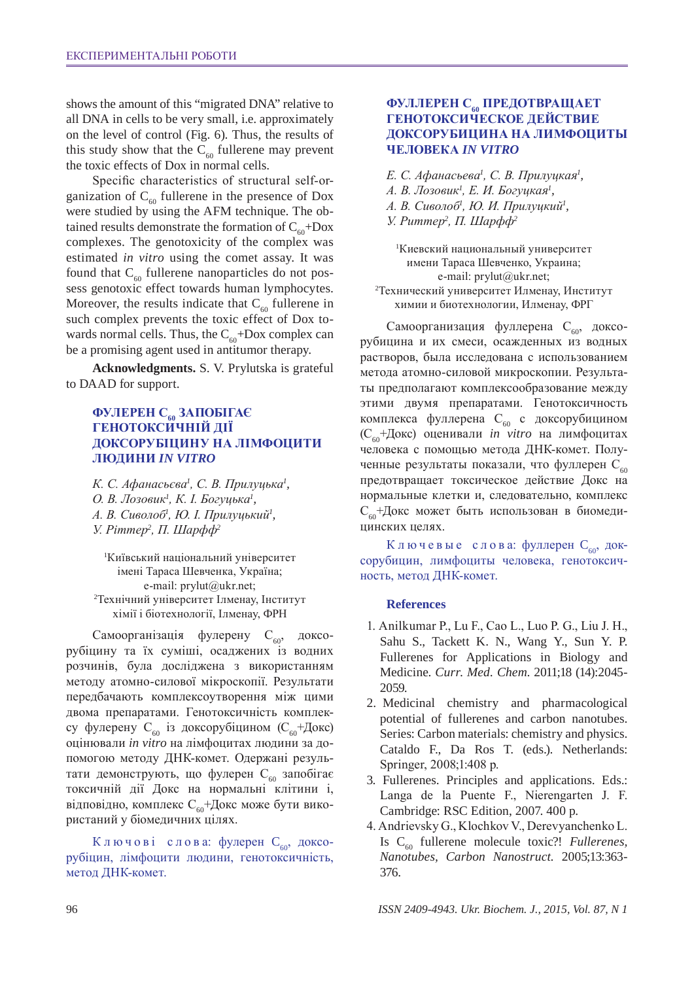shows the amount of this "migrated DNA" relative to all DNA in cells to be very small, i.e. approximately on the level of control (Fig. 6). Thus, the results of this study show that the  $C_{60}$  fullerene may prevent the toxic effects of Dox in normal cells.

Specific characteristics of structural self-organization of  $C_{60}$  fullerene in the presence of Dox were studied by using the AFM technique. The obtained results demonstrate the formation of  $C_{60}$ +Dox complexes. The genotoxicity of the complex was estimated *in vitro* using the comet assay. It was found that  $C_{60}$  fullerene nanoparticles do not possess genotoxic effect towards human lymphocytes. Moreover, the results indicate that  $C_{60}$  fullerene in such complex prevents the toxic effect of Dox towards normal cells. Thus, the  $C_{60}$ +Dox complex can be a promising agent used in antitumor therapy.

**Acknowledgments.** S. V. Prylutska is grateful to DAAD for support.

## **Фулерен C60 запобігає генотоксичній дії доксорубіцину на лімфоцити людини** *in vitro*

*К. С. Афанасьєва<sup>1</sup> , С. В. Прилуцька<sup>1</sup> , О. В. Лозовик<sup>1</sup> , К. І. Богуцька<sup>1</sup> , А. В. Сиволоб<sup>1</sup> , Ю. І. Прилуцький<sup>1</sup> , У. Ріттер<sup>2</sup> , П. Шарфф<sup>2</sup>*

1 Київський національний університет імені Тараса Шевченка, Україна; e-mail: prylut@ukr.net; 2 Технічний університет Ілменау, Інститут хімії і біотехнології, Ілменау, ФРН

Самоорганізація фулерену  $C_{60}$ , доксорубіцину та їх суміші, осаджених із водних розчинів, була досліджена з використанням методу атомно-силової мікроскопії. Результати передбачають комплексоутворення між цими двома препаратами. Генотоксичність комплексу фулерену  $C_{60}$  із доксорубіцином  $(C_{60} + \text{J0kc})$ оцінювали *in vitro* на лімфоцитах людини за допомогою методу ДНК-комет. Одержані результати демонструють, що фулерен С<sub>60</sub> запобігає токсичній дії Докс на нормальні клітини і, відповідно, комплекс  $C_{60}$ +Докс може бути використаний у біомедичних цілях.

Ключові слова: фулерен С<sub>60</sub>, доксорубіцин, лімфоцити людини, генотоксичність, метод ДНК-комет.

### **Фуллерен C60 предотвращает генотоксическое действие доксорубицина на лимфоциты человека** *in vitro*

*Е. С. Афанасьева<sup>1</sup> , С. В. Прилуцкая<sup>1</sup> ,* 

*A. В. Лозовик<sup>1</sup> , Е. И. Богуцкая<sup>1</sup> ,* 

*А. В. Сиволоб<sup>1</sup> , Ю. И. Прилуцкий<sup>1</sup> ,* 

*У. Риттер<sup>2</sup> , П. Шарфф<sup>2</sup>*

1 Киевский национальный университет имени Тараса Шевченко, Украина; e-mail: prylut@ukr.net;

2 Технический университет Илменау, Институт химии и биотехнологии, Илменау, ФРГ

Самоорганизация фуллерена С<sub>60</sub>, доксорубицина и их смеси, осажденных из водных растворов, была исследована с использованием метода атомно-силовой микроскопии. Результаты предполагают комплексообразование между этими двумя препаратами. Генотоксичность комплекса фуллерена С<sub>60</sub> с доксорубицином (С60+Докс) оценивали *in vitro* на лимфоцитах человека с помощью метода ДНК-комет. Полученные результаты показали, что фуллерен  $C_{60}$ предотвращает токсическое действие Докс на нормальные клетки и, следовательно, комплекс С60+Докс может быть использован в биомедицинских целях.

Ключевые слова: фуллерен С<sub>60</sub>, доксорубицин, лимфоциты человека, генотоксичность, метод ДНК-комет.

### **References**

- 1. Anilkumar P., Lu F., Cao L., Luo P. G., Liu J. H., Sahu S., Tackett K. N., Wang Y., Sun Y. P. Fullerenes for Applications in Biology and Medicine. *Curr. Med. Chem*. 2011;18 (14):2045- 2059.
- 2. Medicinal chemistry and pharmacological potential of fullerenes and carbon nanotubes. Series: Carbon materials: chemistry and physics. Cataldo F., Da Ros T. (eds.). Netherlands: Springer, 2008;1:408 р.
- 3. Fullerenes. Principles and applications. Eds.: Langa de la Puente F., Nierengarten J. F. Cambridge: RSC Edition, 2007. 400 p.
- 4. Andrievsky G., Klochkov V., Derevyanchenko L. Is C60 fullerene molecule toxic?! *Fullerenes, Nanotubes, Carbon Nanostruct.* 2005;13:363- 376.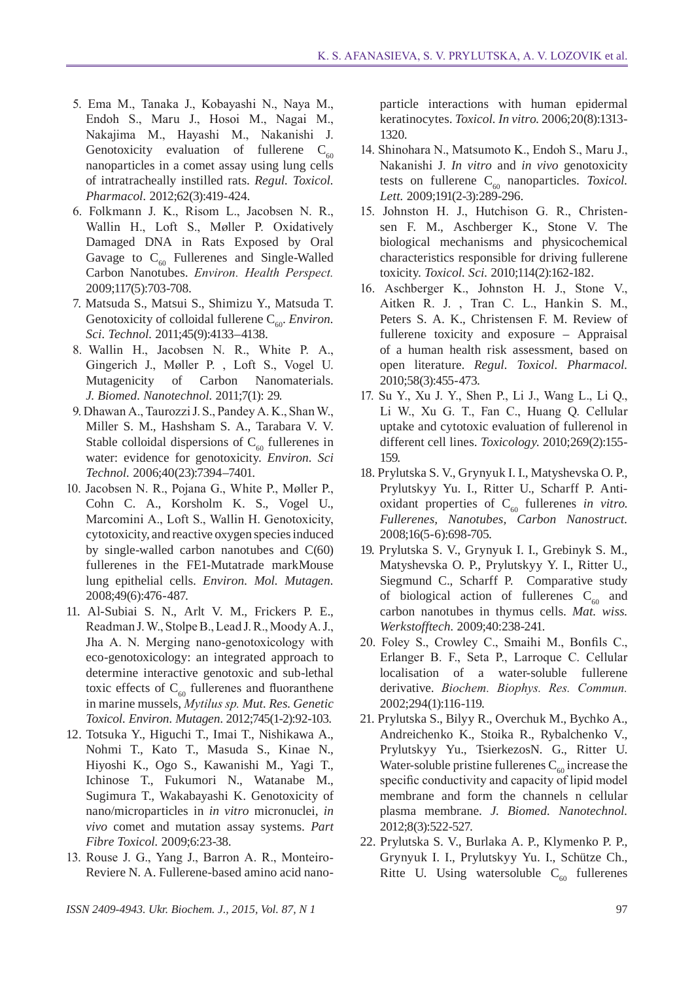- 5. Ema M., Tanaka J., Kobayashi N., Naya M., Endoh S., Maru J., Hosoi M., Nagai M., Nakajima M., Hayashi M., Nakanishi J. Genotoxicity evaluation of fullerene  $C_{60}$ nanoparticles in a comet assay using lung cells of intratracheally instilled rats. *Regul. Toxicol. Pharmacol.* 2012;62(3):419-424.
- 6. Folkmann J. K., Risom L., Jacobsen N. R., Wallin H., Loft S., Møller P. Oxidatively Damaged DNA in Rats Exposed by Oral Gavage to  $C_{60}$  Fullerenes and Single-Walled Carbon Nanotubes. *Environ. Health Perspect.* 2009;117(5):703-708.
- 7. Matsuda S., Matsui S., Shimizu Y., Matsuda T. Genotoxicity of colloidal fullerene C<sub>60</sub>. *Environ. Sci. Technol.* 2011;45(9):4133–4138.
- 8. Wallin H., Jacobsen N. R., White P. A., Gingerich J., Møller P. , Loft S., Vogel U. Mutagenicity of Carbon Nanomaterials. *J. Biomed. Nanotechnol.* 2011;7(1): 29.
- 9. Dhawan A., Taurozzi J. S., Pandey A. K., ShanW., Miller S. M., Hashsham S. A., Tarabara V. V. Stable colloidal dispersions of  $C_{60}$  fullerenes in water: evidence for genotoxicity. *Environ. Sci Technol.* 2006;40(23):7394–7401.
- 10. Jacobsen N. R., Pojana G., White P., Møller P., Cohn C. A., Korsholm K. S., Vogel U., Marcomini A., Loft S., Wallin H. Genotoxicity, cytotoxicity, and reactive oxygen species induced by single-walled carbon nanotubes and C(60) fullerenes in the FE1-Mutatrade markMouse lung epithelial cells. *Environ. Mol. Mutagen.* 2008;49(6):476-487.
- 11. Al-Subiai S. N., Arlt V. M., Frickers P. E., Readman J. W., Stolpe B., Lead J. R., MoodyA.J., Jha A. N. Merging nano-genotoxicology with eco-genotoxicology: an integrated approach to determine interactive genotoxic and sub-lethal toxic effects of  $C_{60}$  fullerenes and fluoranthene in marine mussels, *Mytilus sp. Mut. Res. Genetic Toxicol. Environ. Mutagen*. 2012;745(1-2):92-103.
- 12. Totsuka Y., Higuchi T., Imai T., Nishikawa A., Nohmi T., Kato T., Masuda S., Kinae N., Hiyoshi K., Ogo S., Kawanishi M., Yagi T., Ichinose T., Fukumori N., Watanabe M., Sugimura T., Wakabayashi K. Genotoxicity of nano/microparticles in *in vitro* micronuclei, *in vivo* comet and mutation assay systems. *Part Fibre Toxicol.* 2009;6:23-38.
- 13. Rouse J. G., Yang J., Barron A. R., Monteiro-Reviere N. A. Fullerene-based amino acid nano-

particle interactions with human epidermal keratinocytes. *Toxicol. in vitro*. 2006;20(8):1313- 1320.

- 14. Shinohara N., Matsumoto K., Endoh S., Maru J., Nakanishi J. *In vitro* and *in vivo* genotoxicity tests on fullerene  $C_{60}$  nanoparticles. *Toxicol*. *Lett.* 2009;191(2-3):289-296.
- 15. Johnston H. J., Hutchison G. R., Christensen F. M., Aschberger K., Stone V. The biological mechanisms and physicochemical characteristics responsible for driving fullerene toxicity. *Toxicol. Sci.* 2010;114(2):162-182.
- 16. Aschberger K., Johnston H. J., Stone V., Aitken R. J. , Tran C. L., Hankin S. M., Peters S. A. K., Christensen F. M. Review of fullerene toxicity and exposure – Appraisal of a human health risk assessment, based on open literature. *Regul. Toxicol. Pharmacol.* 2010;58(3):455-473.
- 17. Su Y., Xu J. Y., Shen P., Li J., Wang L., Li Q., Li W., Xu G. T., Fan C., Huang Q. Cellular uptake and cytotoxic evaluation of fullerenol in different cell lines. *Toxicology*. 2010;269(2):155- 159.
- 18. Prylutska S. V., Grynyuk I. I., Matyshevska O. P., Prylutskyy Yu. I., Ritter U., Scharff P. Antioxidant properties of  $C_{60}$  fullerenes *in vitro*. *Fullerenes, Nanotubes, Carbon Nanostruct.*  2008;16(5-6):698-705.
- 19. Prylutska S. V., Grynyuk I. I., Grebinyk S. M., Matyshevska O. P., Prylutskyy Y. I., Ritter U., Siegmund C., Scharff P. Comparative study of biological action of fullerenes  $C_{60}$  and carbon nanotubes in thymus cells. *Mat. wiss. Werkstofftech.* 2009;40:238-241.
- 20. Foley S., Crowley C., Smaihi M., Bonfils C., Erlanger B. F., Seta P., Larroque C. Cellular localisation of a water-soluble fullerene derivative. *Biochem. Biophys. Res. Commun.* 2002;294(1):116-119.
- 21. Prylutska S., Bilyy R., Overchuk M., Bychko A., Andreichenko K., Stoika R., Rybalchenko V., Prylutskyy Yu., TsierkezosN. G., Ritter U. Water-soluble pristine fullerenes  $C_{60}$  increase the specific conductivity and capacity of lipid model membrane and form the channels n cellular plasma membrane. *J. Biomed. Nanotechnol.* 2012;8(3):522-527.
- 22. Prylutska S. V., Burlaka A. P., Klymenko P. P., Grynyuk I. I., Prylutskyy Yu. I., Schütze Ch., Ritte U. Using watersoluble  $C_{60}$  fullerenes